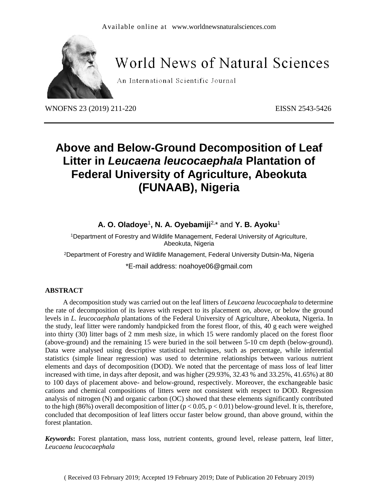

# **World News of Natural Sciences**

An International Scientific Journal

WNOFNS 23 (2019) 211-220 EISSN 2543-5426

# **Above and Below-Ground Decomposition of Leaf Litter in** *Leucaena leucocaephala* **Plantation of Federal University of Agriculture, Abeokuta (FUNAAB), Nigeria**

**A. O. Oladoye**<sup>1</sup> **, N. A. Oyebamiji**2, \* and **Y. B. Ayoku**<sup>1</sup>

<sup>1</sup>Department of Forestry and Wildlife Management, Federal University of Agriculture, Abeokuta, Nigeria

<sup>2</sup>Department of Forestry and Wildlife Management, Federal University Dutsin-Ma, Nigeria

\*E-mail address: noahoye06@gmail.com

#### **ABSTRACT**

A decomposition study was carried out on the leaf litters of *Leucaena leucocaephala* to determine the rate of decomposition of its leaves with respect to its placement on, above, or below the ground levels in *L. leucocaephala* plantations of the Federal University of Agriculture, Abeokuta, Nigeria. In the study, leaf litter were randomly handpicked from the forest floor, of this, 40 g each were weighed into thirty (30) litter bags of 2 mm mesh size, in which 15 were randomly placed on the forest floor (above-ground) and the remaining 15 were buried in the soil between 5-10 cm depth (below-ground). Data were analysed using descriptive statistical techniques, such as percentage, while inferential statistics (simple linear regression) was used to determine relationships between various nutrient elements and days of decomposition (DOD). We noted that the percentage of mass loss of leaf litter increased with time, in days after deposit, and was higher (29.93%, 32.43 % and 33.25%, 41.65%) at 80 to 100 days of placement above- and below-ground, respectively. Moreover, the exchangeable basic cations and chemical compositions of litters were not consistent with respect to DOD. Regression analysis of nitrogen (N) and organic carbon (OC) showed that these elements significantly contributed to the high (86%) overall decomposition of litter  $(p < 0.05, p < 0.01)$  below-ground level. It is, therefore, concluded that decomposition of leaf litters occur faster below ground, than above ground, within the forest plantation.

*Keywords***:** Forest plantation, mass loss, nutrient contents, ground level, release pattern, leaf litter, *Leucaena leucocaephala*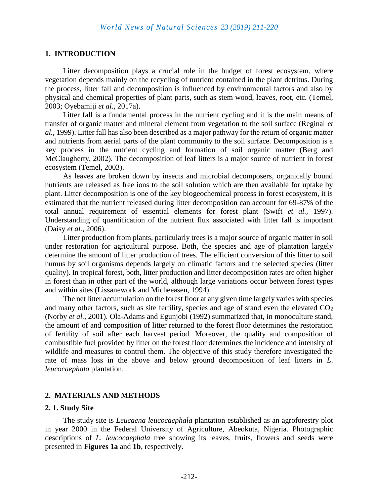# **1. INTRODUCTION**

Litter decomposition plays a crucial role in the budget of forest ecosystem, where vegetation depends mainly on the recycling of nutrient contained in the plant detritus. During the process, litter fall and decomposition is influenced by environmental factors and also by physical and chemical properties of plant parts, such as stem wood, leaves, root, etc. (Temel, 2003; Oyebamiji *et al.,* 2017a).

Litter fall is a fundamental process in the nutrient cycling and it is the main means of transfer of organic matter and mineral element from vegetation to the soil surface (Reginal *et al.,* 1999). Litter fall has also been described as a major pathway for the return of organic matter and nutrients from aerial parts of the plant community to the soil surface. Decomposition is a key process in the nutrient cycling and formation of soil organic matter (Berg and McClaugherty, 2002). The decomposition of leaf litters is a major source of nutrient in forest ecosystem (Temel, 2003).

As leaves are broken down by insects and microbial decomposers, organically bound nutrients are released as free ions to the soil solution which are then available for uptake by plant. Litter decomposition is one of the key biogeochemical process in forest ecosystem, it is estimated that the nutrient released during litter decomposition can account for 69-87% of the total annual requirement of essential elements for forest plant (Swift *et al.,* 1997). Understanding of quantification of the nutrient flux associated with litter fall is important (Daisy *et al.,* 2006).

Litter production from plants, particularly trees is a major source of organic matter in soil under restoration for agricultural purpose. Both, the species and age of plantation largely determine the amount of litter production of trees. The efficient conversion of this litter to soil humus by soil organisms depends largely on climatic factors and the selected species (litter quality). In tropical forest, both, litter production and litter decomposition rates are often higher in forest than in other part of the world, although large variations occur between forest types and within sites (Lissanework and Micheeasen, 1994).

The net litter accumulation on the forest floor at any given time largely varies with species and many other factors, such as site fertility, species and age of stand even the elevated  $CO<sub>2</sub>$ (Norby *et al.,* 2001). Ola-Adams and Egunjobi (1992) summarized that, in monoculture stand, the amount of and composition of litter returned to the forest floor determines the restoration of fertility of soil after each harvest period. Moreover, the quality and composition of combustible fuel provided by litter on the forest floor determines the incidence and intensity of wildlife and measures to control them. The objective of this study therefore investigated the rate of mass loss in the above and below ground decomposition of leaf litters in *L*. *leucocaephala* plantation.

# **2. MATERIALS AND METHODS**

#### **2. 1. Study Site**

The study site is *Leucaena leucocaephala* plantation established as an agroforestry plot in year 2000 in the Federal University of Agriculture, Abeokuta, Nigeria. Photographic descriptions of *L. leucocaephala* tree showing its leaves, fruits, flowers and seeds were presented in **Figures 1a** and **1b**, respectively.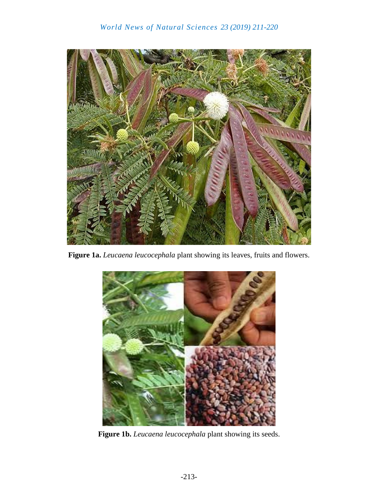

**Figure 1a.** *Leucaena leucocephala* plant showing its leaves, fruits and flowers.



**Figure 1b.** *Leucaena leucocephala* plant showing its seeds.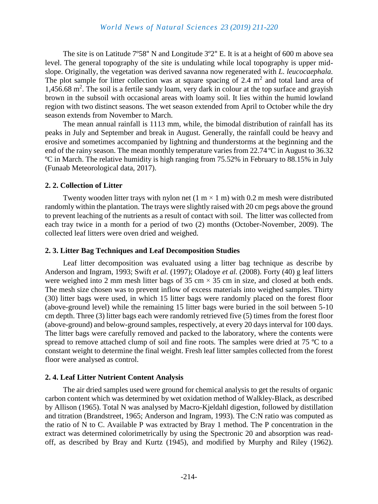The site is on Latitude 7º58" N and Longitude 3º2" E. It is at a height of 600 m above sea level. The general topography of the site is undulating while local topography is upper midslope. Originally, the vegetation was derived savanna now regenerated with *L. leucocaephala.* The plot sample for litter collection was at square spacing of 2.4  $m<sup>2</sup>$  and total land area of 1,456.68 m<sup>2</sup>. The soil is a fertile sandy loam, very dark in colour at the top surface and grayish brown in the subsoil with occasional areas with loamy soil. It lies within the humid lowland region with two distinct seasons. The wet season extended from April to October while the dry season extends from November to March.

The mean annual rainfall is 1113 mm, while, the bimodal distribution of rainfall has its peaks in July and September and break in August. Generally, the rainfall could be heavy and erosive and sometimes accompanied by lightning and thunderstorms at the beginning and the end of the rainy season. The mean monthly temperature varies from 22.74 ºC in August to 36.32 ºC in March. The relative humidity is high ranging from 75.52% in February to 88.15% in July (Funaab Meteorological data, 2017).

## **2. 2. Collection of Litter**

Twenty wooden litter trays with nylon net  $(1 \text{ m} \times 1 \text{ m})$  with 0.2 m mesh were distributed randomly within the plantation. The trays were slightly raised with 20 cm pegs above the ground to prevent leaching of the nutrients as a result of contact with soil. The litter was collected from each tray twice in a month for a period of two (2) months (October-November, 2009). The collected leaf litters were oven dried and weighed.

## **2. 3. Litter Bag Techniques and Leaf Decomposition Studies**

Leaf litter decomposition was evaluated using a litter bag technique as describe by Anderson and Ingram, 1993; Swift *et al.* (1997); Oladoye *et al.* (2008). Forty (40) g leaf litters were weighed into 2 mm mesh litter bags of 35 cm  $\times$  35 cm in size, and closed at both ends. The mesh size chosen was to prevent inflow of excess materials into weighed samples. Thirty (30) litter bags were used, in which 15 litter bags were randomly placed on the forest floor (above-ground level) while the remaining 15 litter bags were buried in the soil between 5-10 cm depth. Three (3) litter bags each were randomly retrieved five (5) times from the forest floor (above-ground) and below-ground samples, respectively, at every 20 days interval for 100 days. The litter bags were carefully removed and packed to the laboratory, where the contents were spread to remove attached clump of soil and fine roots. The samples were dried at 75 °C to a constant weight to determine the final weight. Fresh leaf litter samples collected from the forest floor were analysed as control.

# **2. 4. Leaf Litter Nutrient Content Analysis**

The air dried samples used were ground for chemical analysis to get the results of organic carbon content which was determined by wet oxidation method of Walkley-Black, as described by Allison (1965). Total N was analysed by Macro-Kjeldahl digestion, followed by distillation and titration (Brandstreet, 1965; Anderson and Ingram, 1993). The C:N ratio was computed as the ratio of N to C. Available P was extracted by Bray 1 method. The P concentration in the extract was determined colorimetrically by using the Spectronic 20 and absorption was readoff, as described by Bray and Kurtz (1945), and modified by Murphy and Riley (1962).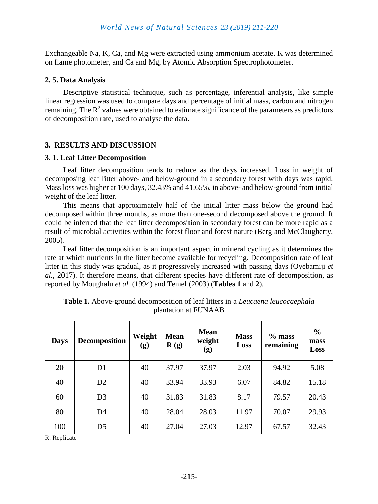Exchangeable Na, K, Ca, and Mg were extracted using ammonium acetate. K was determined on flame photometer, and Ca and Mg, by Atomic Absorption Spectrophotometer.

#### **2. 5. Data Analysis**

Descriptive statistical technique, such as percentage, inferential analysis, like simple linear regression was used to compare days and percentage of initial mass, carbon and nitrogen remaining. The  $\mathbb{R}^2$  values were obtained to estimate significance of the parameters as predictors of decomposition rate, used to analyse the data.

# **3. RESULTS AND DISCUSSION**

#### **3. 1. Leaf Litter Decomposition**

Leaf litter decomposition tends to reduce as the days increased. Loss in weight of decomposing leaf litter above- and below-ground in a secondary forest with days was rapid. Mass loss was higher at 100 days, 32.43% and 41.65%, in above- and below-ground from initial weight of the leaf litter.

This means that approximately half of the initial litter mass below the ground had decomposed within three months, as more than one-second decomposed above the ground. It could be inferred that the leaf litter decomposition in secondary forest can be more rapid as a result of microbial activities within the forest floor and forest nature (Berg and McClaugherty, 2005).

Leaf litter decomposition is an important aspect in mineral cycling as it determines the rate at which nutrients in the litter become available for recycling. Decomposition rate of leaf litter in this study was gradual, as it progressively increased with passing days (Oyebamiji *et al.,* 2017). It therefore means, that different species have different rate of decomposition, as reported by Moughalu *et al.* (1994) and Temel (2003) (**Tables 1** and **2**).

| <b>Days</b> | <b>Decomposition</b> | Weight<br>(g) | <b>Mean</b><br>$\mathbf{R}$ (g) | <b>Mean</b><br>weight<br>(g) | <b>Mass</b><br>Loss | $%$ mass<br>remaining | $\frac{6}{6}$<br>mass<br>Loss |
|-------------|----------------------|---------------|---------------------------------|------------------------------|---------------------|-----------------------|-------------------------------|
| 20          | D <sub>1</sub>       | 40            | 37.97                           | 37.97                        | 2.03                | 94.92                 | 5.08                          |
| 40          | D2                   | 40            | 33.94                           | 33.93                        | 6.07                | 84.82                 | 15.18                         |
| 60          | D <sub>3</sub>       | 40            | 31.83                           | 31.83                        | 8.17                | 79.57                 | 20.43                         |
| 80          | D <sub>4</sub>       | 40            | 28.04                           | 28.03                        | 11.97               | 70.07                 | 29.93                         |
| 100         | D <sub>5</sub>       | 40            | 27.04                           | 27.03                        | 12.97               | 67.57                 | 32.43                         |

**Table 1.** Above-ground decomposition of leaf litters in a *Leucaena leucocaephala* plantation at FUNAAB

R: Replicate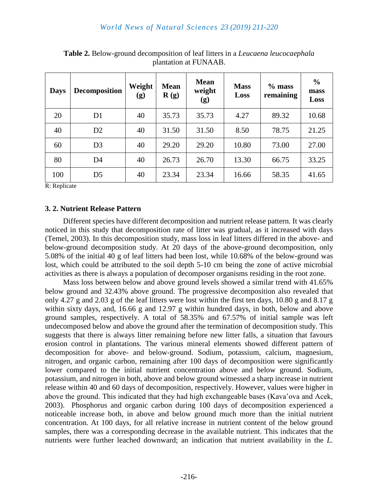| <b>Days</b> | <b>Decomposition</b> | Weight<br>(g) | <b>Mean</b><br>$\mathbf{R}(\mathbf{g})$ | <b>Mean</b><br>weight<br>(g) | <b>Mass</b><br>Loss | $%$ mass<br>remaining | $\frac{0}{0}$<br>mass<br>Loss |
|-------------|----------------------|---------------|-----------------------------------------|------------------------------|---------------------|-----------------------|-------------------------------|
| 20          | D <sub>1</sub>       | 40            | 35.73                                   | 35.73                        | 4.27                | 89.32                 | 10.68                         |
| 40          | D2                   | 40            | 31.50                                   | 31.50                        | 8.50                | 78.75                 | 21.25                         |
| 60          | D <sub>3</sub>       | 40            | 29.20                                   | 29.20                        | 10.80               | 73.00                 | 27.00                         |
| 80          | D <sub>4</sub>       | 40            | 26.73                                   | 26.70                        | 13.30               | 66.75                 | 33.25                         |
| 100         | D <sub>5</sub>       | 40            | 23.34                                   | 23.34                        | 16.66               | 58.35                 | 41.65                         |

**Table 2.** Below-ground decomposition of leaf litters in a *Leucaena leucocaephala* plantation at FUNAAB.

R: Replicate

# **3. 2. Nutrient Release Pattern**

Different species have different decomposition and nutrient release pattern. It was clearly noticed in this study that decomposition rate of litter was gradual, as it increased with days (Temel, 2003). In this decomposition study, mass loss in leaf litters differed in the above- and below-ground decomposition study. At 20 days of the above-ground decomposition, only 5.08% of the initial 40 g of leaf litters had been lost, while 10.68% of the below-ground was lost, which could be attributed to the soil depth 5-10 cm being the zone of active microbial activities as there is always a population of decomposer organisms residing in the root zone.

Mass loss between below and above ground levels showed a similar trend with 41.65% below ground and 32.43% above ground. The progressive decomposition also revealed that only 4.27 g and 2.03 g of the leaf litters were lost within the first ten days, 10.80 g and 8.17 g within sixty days, and, 16.66 g and 12.97 g within hundred days, in both, below and above ground samples, respectively. A total of 58.35% and 67.57% of initial sample was left undecomposed below and above the ground after the termination of decomposition study. This suggests that there is always litter remaining before new litter falls, a situation that favours erosion control in plantations. The various mineral elements showed different pattern of decomposition for above- and below-ground. Sodium, potassium, calcium, magnesium, nitrogen, and organic carbon, remaining after 100 days of decomposition were significantly lower compared to the initial nutrient concentration above and below ground. Sodium, potassium, and nitrogen in both, above and below ground witnessed a sharp increase in nutrient release within 40 and 60 days of decomposition, respectively. However, values were higher in above the ground. This indicated that they had high exchangeable bases (Kava'ova and Acek, 2003). Phosphorus and organic carbon during 100 days of decomposition experienced a noticeable increase both, in above and below ground much more than the initial nutrient concentration. At 100 days, for all relative increase in nutrient content of the below ground samples, there was a corresponding decrease in the available nutrient. This indicates that the nutrients were further leached downward; an indication that nutrient availability in the *L.*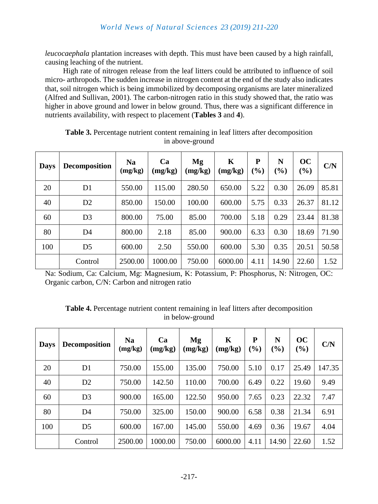*leucocaephala* plantation increases with depth. This must have been caused by a high rainfall, causing leaching of the nutrient.

High rate of nitrogen release from the leaf litters could be attributed to influence of soil micro- arthropods. The sudden increase in nitrogen content at the end of the study also indicates that, soil nitrogen which is being immobilized by decomposing organisms are later mineralized (Alfred and Sullivan, 2001). The carbon-nitrogen ratio in this study showed that, the ratio was higher in above ground and lower in below ground. Thus, there was a significant difference in nutrients availability, with respect to placement (**Tables 3** and **4**).

| <b>Days</b> | <b>Decomposition</b> | <b>Na</b><br>(mg/kg) | Ca<br>(mg/kg) | Mg<br>(mg/kg) | K<br>(mg/kg) | P<br>(%) | N<br>$(\%)$ | OC<br>$(\%)$ | C/N   |
|-------------|----------------------|----------------------|---------------|---------------|--------------|----------|-------------|--------------|-------|
| 20          | D1                   | 550.00               | 115.00        | 280.50        | 650.00       | 5.22     | 0.30        | 26.09        | 85.81 |
| 40          | D2                   | 850.00               | 150.00        | 100.00        | 600.00       | 5.75     | 0.33        | 26.37        | 81.12 |
| 60          | D <sub>3</sub>       | 800.00               | 75.00         | 85.00         | 700.00       | 5.18     | 0.29        | 23.44        | 81.38 |
| 80          | D4                   | 800.00               | 2.18          | 85.00         | 900.00       | 6.33     | 0.30        | 18.69        | 71.90 |
| 100         | D <sub>5</sub>       | 600.00               | 2.50          | 550.00        | 600.00       | 5.30     | 0.35        | 20.51        | 50.58 |
|             | Control              | 2500.00              | 1000.00       | 750.00        | 6000.00      | 4.11     | 14.90       | 22.60        | 1.52  |

**Table 3.** Percentage nutrient content remaining in leaf litters after decomposition in above-ground

Na: Sodium, Ca: Calcium, Mg: Magnesium, K: Potassium, P: Phosphorus, N: Nitrogen, OC: Organic carbon, C/N: Carbon and nitrogen ratio

| <b>Table 4.</b> Percentage nutrient content remaining in leaf litters after decomposition |
|-------------------------------------------------------------------------------------------|
| in below-ground                                                                           |

| <b>Days</b> | <b>Decomposition</b> | <b>Na</b><br>(mg/kg) | Ca<br>(mg/kg) | Mg<br>(mg/kg) | K<br>(mg/kg) | P<br>$\mathcal{O}_0$ | N<br>$\left( \frac{0}{0} \right)$ | OC<br>$(\%)$ | C/N    |
|-------------|----------------------|----------------------|---------------|---------------|--------------|----------------------|-----------------------------------|--------------|--------|
| 20          | D <sub>1</sub>       | 750.00               | 155.00        | 135.00        | 750.00       | 5.10                 | 0.17                              | 25.49        | 147.35 |
| 40          | D2                   | 750.00               | 142.50        | 110.00        | 700.00       | 6.49                 | 0.22                              | 19.60        | 9.49   |
| 60          | D <sub>3</sub>       | 900.00               | 165.00        | 122.50        | 950.00       | 7.65                 | 0.23                              | 22.32        | 7.47   |
| 80          | D <sub>4</sub>       | 750.00               | 325.00        | 150.00        | 900.00       | 6.58                 | 0.38                              | 21.34        | 6.91   |
| 100         | D <sub>5</sub>       | 600.00               | 167.00        | 145.00        | 550.00       | 4.69                 | 0.36                              | 19.67        | 4.04   |
|             | Control              | 2500.00              | 1000.00       | 750.00        | 6000.00      | 4.11                 | 14.90                             | 22.60        | 1.52   |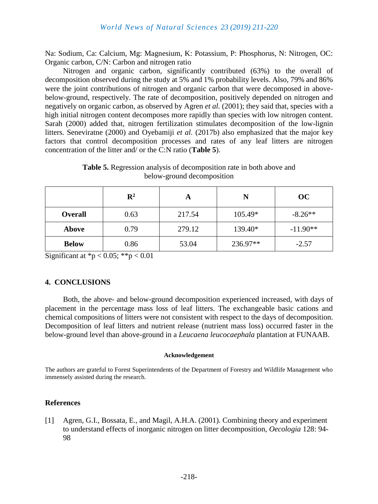Na: Sodium, Ca: Calcium, Mg: Magnesium, K: Potassium, P: Phosphorus, N: Nitrogen, OC: Organic carbon, C/N: Carbon and nitrogen ratio

Nitrogen and organic carbon, significantly contributed (63%) to the overall of decomposition observed during the study at 5% and 1% probability levels. Also, 79% and 86% were the joint contributions of nitrogen and organic carbon that were decomposed in abovebelow-ground, respectively. The rate of decomposition, positively depended on nitrogen and negatively on organic carbon, as observed by Agren *et al.* (2001); they said that, species with a high initial nitrogen content decomposes more rapidly than species with low nitrogen content. Sarah (2000) added that, nitrogen fertilization stimulates decomposition of the low-lignin litters. Seneviratne (2000) and Oyebamiji *et al.* (2017b) also emphasized that the major key factors that control decomposition processes and rates of any leaf litters are nitrogen concentration of the litter and/ or the C:N ratio (**Table 5**).

**Table 5.** Regression analysis of decomposition rate in both above and below-ground decomposition

|                | $\mathbf{R}^2$ | A      | N        | OC         |  |
|----------------|----------------|--------|----------|------------|--|
| <b>Overall</b> | 0.63           | 217.54 | 105.49*  | $-8.26**$  |  |
| Above          | 0.79           | 279.12 | 139.40*  | $-11.90**$ |  |
| <b>Below</b>   | 0.86           | 53.04  | 236.97** | $-2.57$    |  |

Significant at  ${}^*p$  < 0.05;  ${}^*{}^*p$  < 0.01

#### **4. CONCLUSIONS**

Both, the above- and below-ground decomposition experienced increased, with days of placement in the percentage mass loss of leaf litters. The exchangeable basic cations and chemical compositions of litters were not consistent with respect to the days of decomposition. Decomposition of leaf litters and nutrient release (nutrient mass loss) occurred faster in the below-ground level than above-ground in a *Leucaena leucocaephala* plantation at FUNAAB.

#### **Acknowledgement**

The authors are grateful to Forest Superintendents of the Department of Forestry and Wildlife Management who immensely assisted during the research.

#### **References**

[1] Agren, G.I., Bossata, E., and Magil, A.H.A. (2001). Combining theory and experiment to understand effects of inorganic nitrogen on litter decomposition, *Oecologia* 128: 94- 98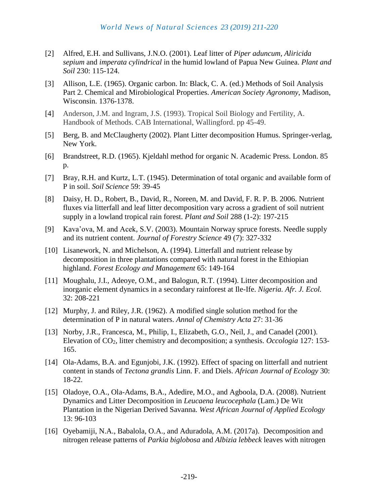- [2] Alfred, E.H. and Sullivans, J.N.O. (2001). Leaf litter of *Piper aduncum, Aliricida sepium* and *imperata cylindrical* in the humid lowland of Papua New Guinea. *Plant and Soil* 230: 115-124.
- [3] Allison, L.E. (1965). Organic carbon. In: Black, C. A. (ed.) Methods of Soil Analysis Part 2. Chemical and Mirobiological Properties. *American Society Agronomy*, Madison, Wisconsin. 1376-1378.
- [4] Anderson, J.M. and Ingram, J.S. (1993). Tropical Soil Biology and Fertility, A. Handbook of Methods. CAB International, Wallingford. pp 45-49.
- [5] Berg, B. and McClaugherty (2002). Plant Litter decomposition Humus. Springer-verlag, New York.
- [6] Brandstreet, R.D. (1965). Kjeldahl method for organic N. Academic Press. London. 85 p.
- [7] Bray, R.H. and Kurtz, L.T. (1945). Determination of total organic and available form of P in soil. *Soil Science* 59: 39-45
- [8] Daisy, H. D., Robert, B., David, R., Noreen, M. and David, F. R. P. B. 2006. Nutrient fluxes via litterfall and leaf litter decomposition vary across a gradient of soil nutrient supply in a lowland tropical rain forest. *Plant and Soil* 288 [\(1-2\)](https://link.springer.com/journal/11104/288/1/page/1): 197-215
- [9] Kava'ova, M. and Acek, S.V. (2003). Mountain Norway spruce forests. Needle supply and its nutrient content. *Journal of Forestry Science* 49 (7): 327-332
- [10] Lisanework, N. and Michelson, A. (1994). Litterfall and nutrient release by decomposition in three plantations compared with natural forest in the Ethiopian highland. *Forest Ecology and Management* 65: 149-164
- [11] Moughalu, J.I., Adeoye, O.M., and Balogun, R.T. (1994). Litter decomposition and inorganic element dynamics in a secondary rainforest at Ile-Ife. *Nigeria. Afr. J. Ecol.* 32: 208-221
- [12] Murphy, J. and Riley, J.R. (1962). A modified single solution method for the determination of P in natural waters. *Annal of Chemistry Acta* 27: 31-36
- [13] Norby, J.R., Francesca, M., Philip, I., Elizabeth, G.O., Neil, J., and Canadel (2001). Elevation of CO2, litter chemistry and decomposition; a synthesis. *Occologia* 127: 153- 165.
- [14] Ola-Adams, B.A. and Egunjobi, J.K. (1992). Effect of spacing on litterfall and nutrient content in stands of *Tectona grandis* Linn. F. and Diels. *African Journal of Ecology* 30: 18-22.
- [15] Oladoye, O.A., Ola-Adams, B.A., Adedire, M.O., and Agboola, D.A. (2008). Nutrient Dynamics and Litter Decomposition in *Leucaena leucocephala* (Lam.) De Wit Plantation in the Nigerian Derived Savanna. *West African Journal of Applied Ecology* 13: 96-103
- [16] Oyebamiji, N.A., Babalola, O.A., and Aduradola, A.M. (2017a). Decomposition and nitrogen release patterns of *Parkia biglobosa* and *Albizia lebbeck* leaves with nitrogen